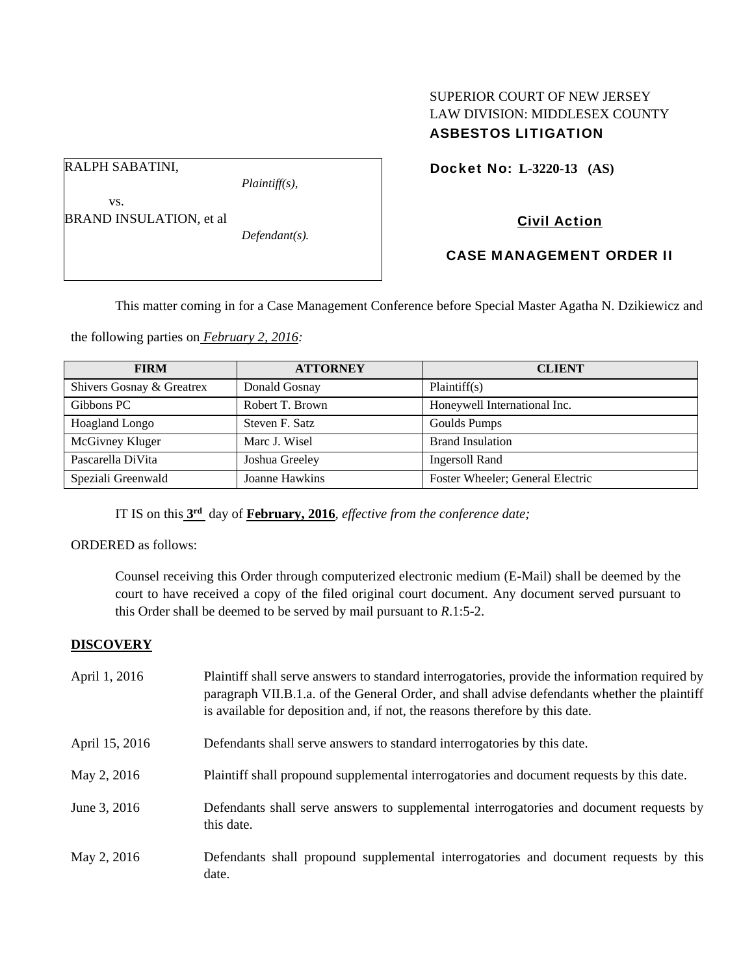# SUPERIOR COURT OF NEW JERSEY LAW DIVISION: MIDDLESEX COUNTY ASBESTOS LITIGATION

Docket No: **L-3220-13 (AS)** 

RALPH SABATINI,

*Plaintiff(s),* 

Civil Action

 vs. BRAND INSULATION, et al

*Defendant(s).* 

CASE MANAGEMENT ORDER II

This matter coming in for a Case Management Conference before Special Master Agatha N. Dzikiewicz and

the following parties on *February 2, 2016:* 

| <b>FIRM</b>               | <b>ATTORNEY</b> | <b>CLIENT</b>                    |
|---------------------------|-----------------|----------------------------------|
| Shivers Gosnay & Greatrex | Donald Gosnay   | Plaintiff(s)                     |
| Gibbons PC                | Robert T. Brown | Honeywell International Inc.     |
| Hoagland Longo            | Steven F. Satz  | Goulds Pumps                     |
| McGivney Kluger           | Marc J. Wisel   | <b>Brand Insulation</b>          |
| Pascarella DiVita         | Joshua Greeley  | <b>Ingersoll Rand</b>            |
| Speziali Greenwald        | Joanne Hawkins  | Foster Wheeler; General Electric |

IT IS on this **3rd** day of **February, 2016**, *effective from the conference date;*

ORDERED as follows:

Counsel receiving this Order through computerized electronic medium (E-Mail) shall be deemed by the court to have received a copy of the filed original court document. Any document served pursuant to this Order shall be deemed to be served by mail pursuant to *R*.1:5-2.

# **DISCOVERY**

| April 1, 2016  | Plaintiff shall serve answers to standard interrogatories, provide the information required by<br>paragraph VII.B.1.a. of the General Order, and shall advise defendants whether the plaintiff<br>is available for deposition and, if not, the reasons therefore by this date. |
|----------------|--------------------------------------------------------------------------------------------------------------------------------------------------------------------------------------------------------------------------------------------------------------------------------|
| April 15, 2016 | Defendants shall serve answers to standard interrogatories by this date.                                                                                                                                                                                                       |
| May 2, 2016    | Plaintiff shall propound supplemental interrogatories and document requests by this date.                                                                                                                                                                                      |
| June 3, 2016   | Defendants shall serve answers to supplemental interrogatories and document requests by<br>this date.                                                                                                                                                                          |
| May 2, 2016    | Defendants shall propound supplemental interrogatories and document requests by this<br>date.                                                                                                                                                                                  |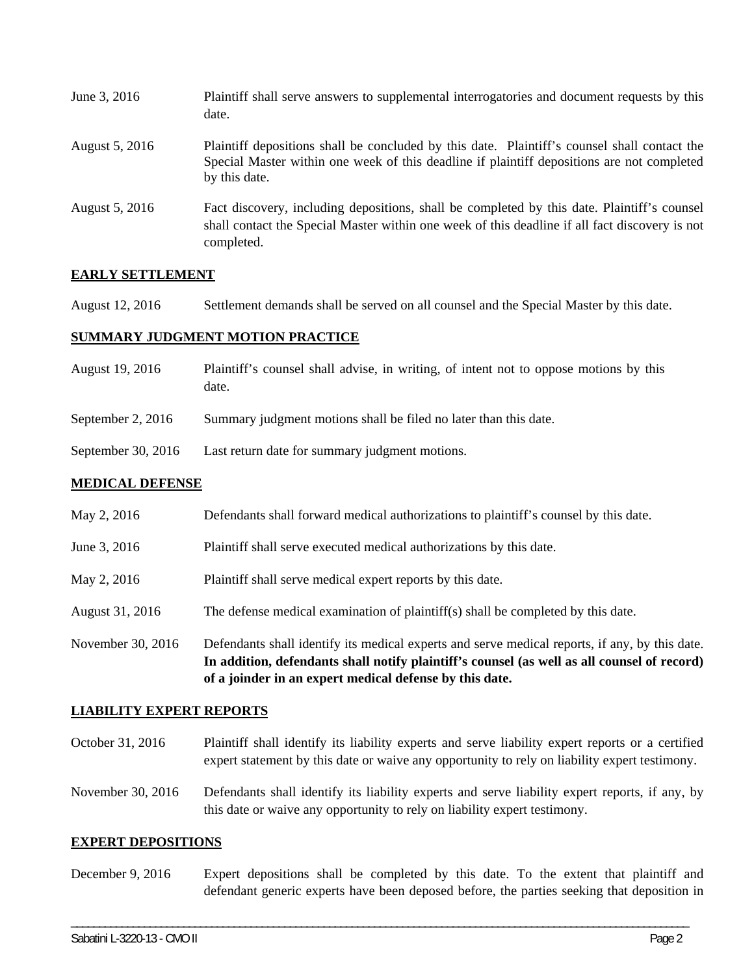| June 3, 2016   | Plaintiff shall serve answers to supplemental interrogatories and document requests by this<br>date.                                                                                                        |
|----------------|-------------------------------------------------------------------------------------------------------------------------------------------------------------------------------------------------------------|
| August 5, 2016 | Plaintiff depositions shall be concluded by this date. Plaintiff's counsel shall contact the<br>Special Master within one week of this deadline if plaintiff depositions are not completed<br>by this date. |
| August 5, 2016 | Fact discovery, including depositions, shall be completed by this date. Plaintiff's counsel<br>shall contact the Special Master within one week of this deadline if all fact discovery is not<br>completed. |

# **EARLY SETTLEMENT**

August 12, 2016 Settlement demands shall be served on all counsel and the Special Master by this date.

### **SUMMARY JUDGMENT MOTION PRACTICE**

- August 19, 2016 Plaintiff's counsel shall advise, in writing, of intent not to oppose motions by this date.
- September 2, 2016 Summary judgment motions shall be filed no later than this date.
- September 30, 2016 Last return date for summary judgment motions.

### **MEDICAL DEFENSE**

| May 2, 2016 | Defendants shall forward medical authorizations to plaintiff's counsel by this date. |
|-------------|--------------------------------------------------------------------------------------|
|             |                                                                                      |

- June 3, 2016 Plaintiff shall serve executed medical authorizations by this date.
- May 2, 2016 Plaintiff shall serve medical expert reports by this date.
- August 31, 2016 The defense medical examination of plaintiff(s) shall be completed by this date.
- November 30, 2016 Defendants shall identify its medical experts and serve medical reports, if any, by this date. **In addition, defendants shall notify plaintiff's counsel (as well as all counsel of record) of a joinder in an expert medical defense by this date.**

#### **LIABILITY EXPERT REPORTS**

- October 31, 2016 Plaintiff shall identify its liability experts and serve liability expert reports or a certified expert statement by this date or waive any opportunity to rely on liability expert testimony.
- November 30, 2016 Defendants shall identify its liability experts and serve liability expert reports, if any, by this date or waive any opportunity to rely on liability expert testimony.

#### **EXPERT DEPOSITIONS**

December 9, 2016 Expert depositions shall be completed by this date. To the extent that plaintiff and defendant generic experts have been deposed before, the parties seeking that deposition in

\_\_\_\_\_\_\_\_\_\_\_\_\_\_\_\_\_\_\_\_\_\_\_\_\_\_\_\_\_\_\_\_\_\_\_\_\_\_\_\_\_\_\_\_\_\_\_\_\_\_\_\_\_\_\_\_\_\_\_\_\_\_\_\_\_\_\_\_\_\_\_\_\_\_\_\_\_\_\_\_\_\_\_\_\_\_\_\_\_\_\_\_\_\_\_\_\_\_\_\_\_\_\_\_\_\_\_\_\_\_